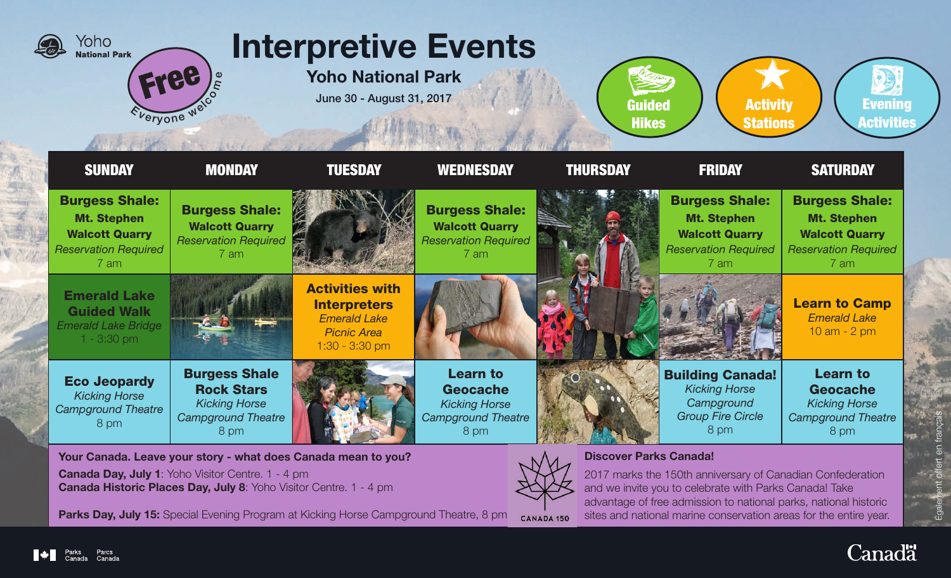

Canada Historic Places Day, July 8: Yoho Visitor Centre. 1 - 4 pm

**Parks Day, July 15:** Special Evening Program at Kicking Horse Campground Theatre, 8 pm CANADA 150

2017 marks the 150th anniversary of Canadian Confederation and we invite you to celebrate with Parks Canada! Take advantage of free admission to national parks, national historic sites and national marine conservation areas for the entire year.



 $\frac{1}{2}$